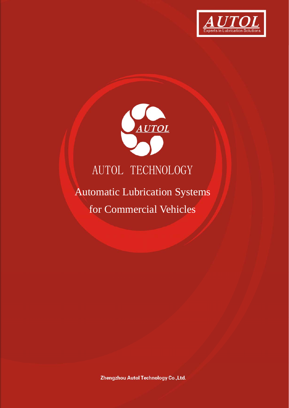



# Automatic Lubrication Systems for Commercial Vehicles

Zhengzhou Autol Technology Co., Ltd.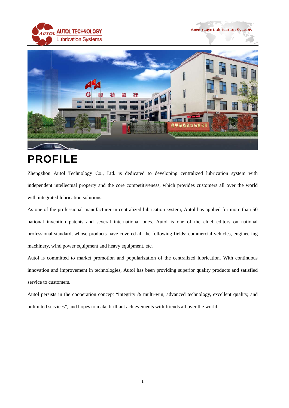





# PROFILE

Zhengzhou Autol Technology Co., Ltd. is dedicated to developing centralized lubrication system with independent intellectual property and the core competitiveness, which provides customers all over the world with integrated lubrication solutions.

As one of the professional manufacturer in centralized lubrication system, Autol has applied for more than 50 national invention patents and several international ones. Autol is one of the chief editors on national professional standard, whose products have covered all the following fields: commercial vehicles, engineering machinery, wind power equipment and heavy equipment, etc.

Autol is committed to market promotion and popularization of the centralized lubrication. With continuous innovation and improvement in technologies, Autol has been providing superior quality products and satisfied service to customers.

Autol persists in the cooperation concept "integrity & multi-win, advanced technology, excellent quality, and unlimited services", and hopes to make brilliant achievements with friends all over the world.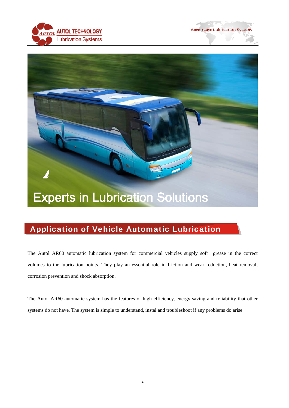





# Application of Vehicle Automatic Lubrication

The Autol AR60 automatic lubrication system for commercial vehicles supply soft grease in the correct volumes to the lubrication points. They play an essential role in friction and wear reduction, heat removal, corrosion prevention and shock absorption.

The Autol AR60 automatic system has the features of high efficiency, energy saving and reliability that other systems do not have. The system is simple to understand, instal and troubleshoot if any problems do arise.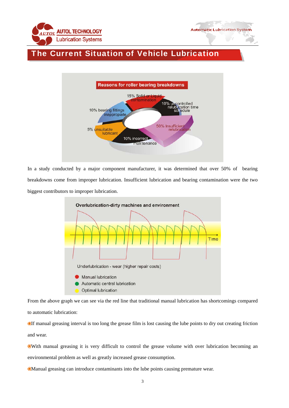

### The Current Situation of Vehicle Lubrication



In a study conducted by a major component manufacturer, it was determined that over 50% of bearing breakdowns come from improper lubrication. Insufficient lubrication and bearing contamination were the two biggest contributors to improper lubrication.



From the above graph we can see via the red line that traditional manual lubrication has shortcomings compared to automatic lubrication:

If manual greasing interval is too long the grease film is lost causing the lube points to dry out creating friction and wear.

With manual greasing it is very difficult to control the grease volume with over lubrication becoming an environmental problem as well as greatly increased grease consumption.

Manual greasing can introduce contaminants into the lube points causing premature wear.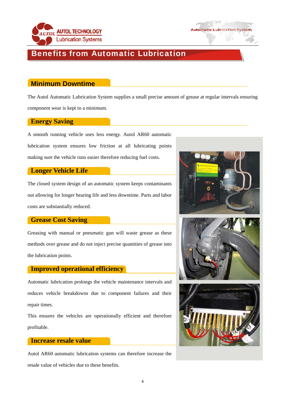



### Benefits from Automatic Lubrication

#### **Minimum Downtime**

The Autol Automatic Lubrication System supplies a small precise amount of grease at regular intervals ensuring component wear is kept to a minimum.

#### **Energy Saving**

A smooth running vehicle uses less energy. Autol AR60 automatic lubrication system ensures low friction at all lubricating points making sure the vehicle runs easier therefore reducing fuel costs.

#### **Longer Vehicle Life**

The closed system design of an automatic system keeps contaminants out allowing for longer bearing life and less downtime. Parts and labor costs are substantially reduced.

#### **Grease Cost Saving**

Greasing with manual or pneumatic gun will waste grease as these methods over grease and do not inject precise quantities of grease into the lubrication points.

#### **Improved operational efficiency**

Automatic lubrication prolongs the vehicle maintenance intervals and reduces vehicle breakdowns due to component failures and their repair times.

This ensures the vehicles are operationally efficient and therefore profitable.

#### **Increase resale value**

Autol AR60 automatic lubrication systems can therefore increase the resale value of vehicles due to these benefits.



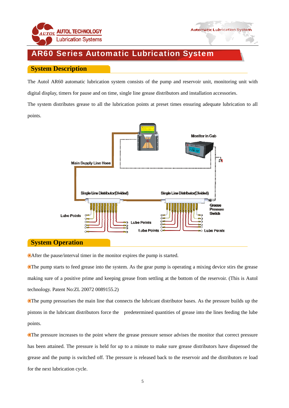

# AR60 Series Automatic Lubrication System

#### **System Description**

The Autol AR60 automatic lubrication system consists of the pump and reservoir unit, monitoring unit with digital display, timers for pause and on time, single line grease distributors and installation accessories.

The system distributes grease to all the lubrication points at preset times ensuring adequate lubrication to all points.



#### **System Operation**

After the pause/interval timer in the monitor expires the pump is started.

The pump starts to feed grease into the system. As the gear pump is operating a mixing device stirs the grease making sure of a positive prime and keeping grease from settling at the bottom of the reservoir. (This is Autol technology. Patent No:ZL 20072 0089155.2)

The pump pressurises the main line that connects the lubricant distributor bases. As the pressure builds up the pistons in the lubricant distributors force the predetermined quantities of grease into the lines feeding the lube points.

The pressure increases to the point where the grease pressure sensor advises the monitor that correct pressure has been attained. The pressure is held for up to a minute to make sure grease distributors have dispensed the grease and the pump is switched off. The pressure is released back to the reservoir and the distributors re load for the next lubrication cycle.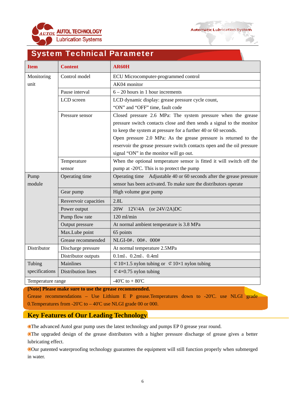



# System Technical Parameter

| <b>Item</b>       | <b>Content</b>            | <b>AR60H</b>                                                            |
|-------------------|---------------------------|-------------------------------------------------------------------------|
| Monitoring        | Control model             | ECU Microcomputer-programmed control                                    |
| unit              |                           | AK04 monitor                                                            |
|                   | Pause interval            | $6 - 20$ hours in 1 hour increments                                     |
|                   | LCD screen                | LCD dynamic display: grease pressure cycle count,                       |
|                   |                           | "ON" and "OFF" time, fault code                                         |
|                   | Pressure sensor           | Closed pressure 2.6 MPa: The system pressure when the grease            |
|                   |                           | pressure switch contacts close and then sends a signal to the monitor   |
|                   |                           | to keep the system at pressure for a further 40 or 60 seconds.          |
|                   |                           | Open pressure 2.0 MPa: As the grease pressure is returned to the        |
|                   |                           | reservoir the grease pressure switch contacts open and the oil pressure |
|                   |                           | signal "ON" in the monitor will go out.                                 |
|                   | Temperature               | When the optional temperature sensor is fitted it will switch off the   |
|                   | sensor                    | pump at -20'C. This is to protect the pump                              |
| Pump              | Operating time            | Operating time Adjustable 40 or 60 seconds after the grease pressure    |
| module            |                           | sensor has been activated. To make sure the distributors operate        |
|                   | Gear pump                 | High volume gear pump                                                   |
|                   | Resvervoir capacities     | 2.8L                                                                    |
|                   | Power output              | 20W<br>$12V/4A$ (or $24V/2A)DC$                                         |
|                   | Pump flow rate            | $120$ ml/min                                                            |
|                   | Output pressure           | At normal ambient temperature is 3.8 MPa                                |
|                   | Max.Lube point            | 65 points                                                               |
|                   | Grease recommended        | NLGI-0#、00#、000#                                                        |
| Distributor       | Discharge pressure        | At normal temperature 2.5MPa                                            |
|                   | Distributor outputs       | $0.1ml$ , $0.2ml$ , $0.4ml$                                             |
| Tubing            | Mainlines                 | $\&$ 10×1.5 nylon tubing or $\&$ 10×1 nylon tubing                      |
| specifications    | <b>Distribution lines</b> | $\&$ 4×0.75 nylon tubing                                                |
| Temperature range |                           | $-40^{\circ}C$ to $+80^{\circ}C$                                        |

**[Note] Please make sure to use the grease recommended.** 

Grease recommendations – Use Lithium E P grease.Temperatures down to -20'C. use NLGI grade 0.Temperatures from -20'C to – 40'C use NLGI grade 00 or 000.

#### **Key Features of Our Leading Technology**

The advanced Autol gear pump uses the latest technology and pumps EP 0 grease year round.

The upgraded design of the grease distributors with a higher pressure discharge of grease gives a better lubricating effect.

Our patented waterproofing technology guarantees the equipment will still function properly when submerged in water.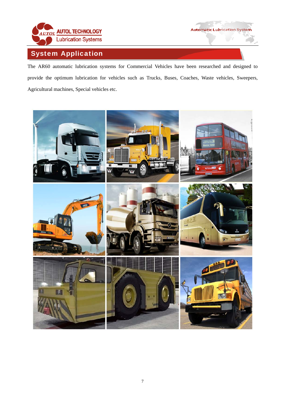

# System Application

The AR60 automatic lubrication systems for Commercial Vehicles have been researched and designed to provide the optimum lubrication for vehicles such as Trucks, Buses, Coaches, Waste vehicles, Sweepers, Agricultural machines, Special vehicles etc.

**Automatic Lubrication System** 

- 10

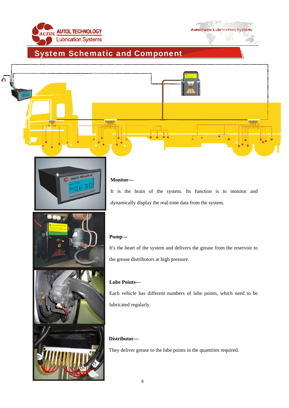



# System Schematic and Component





#### **Monitor––**

It is the brain of the system. Its function is to monitor and dynamically display the real-time data from the system.



#### **Pump––**

It's the heart of the system and delivers the grease from the reservoir to the grease distributors at high pressure.

#### **Lube Points––**

. lubricated regularly Each vehicle has different numbers of lube points, which need to be

#### **– Distributor–**

They deliver grease to the lube points in the quantities required.